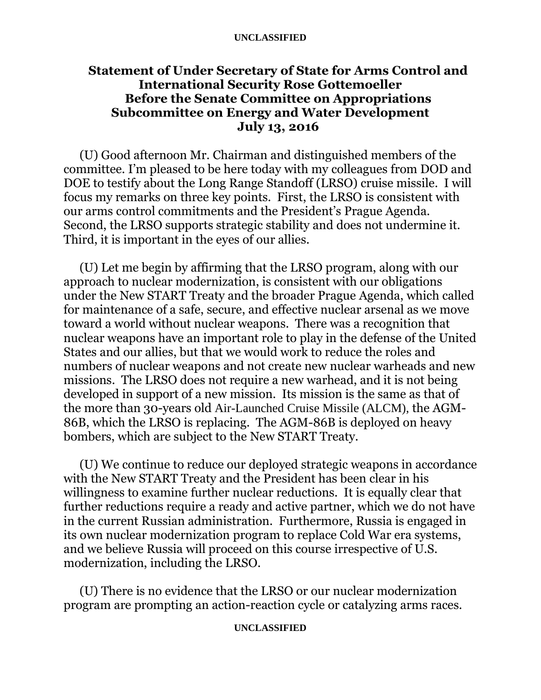#### **UNCLASSIFIED**

# **Statement of Under Secretary of State for Arms Control and International Security Rose Gottemoeller Before the Senate Committee on Appropriations Subcommittee on Energy and Water Development July 13, 2016**

(U) Good afternoon Mr. Chairman and distinguished members of the committee. I'm pleased to be here today with my colleagues from DOD and DOE to testify about the Long Range Standoff (LRSO) cruise missile. I will focus my remarks on three key points. First, the LRSO is consistent with our arms control commitments and the President's Prague Agenda. Second, the LRSO supports strategic stability and does not undermine it. Third, it is important in the eyes of our allies.

(U) Let me begin by affirming that the LRSO program, along with our approach to nuclear modernization, is consistent with our obligations under the New START Treaty and the broader Prague Agenda, which called for maintenance of a safe, secure, and effective nuclear arsenal as we move toward a world without nuclear weapons. There was a recognition that nuclear weapons have an important role to play in the defense of the United States and our allies, but that we would work to reduce the roles and numbers of nuclear weapons and not create new nuclear warheads and new missions. The LRSO does not require a new warhead, and it is not being developed in support of a new mission. Its mission is the same as that of the more than 30-years old Air-Launched Cruise Missile (ALCM), the AGM-86B, which the LRSO is replacing. The AGM-86B is deployed on heavy bombers, which are subject to the New START Treaty.

(U) We continue to reduce our deployed strategic weapons in accordance with the New START Treaty and the President has been clear in his willingness to examine further nuclear reductions. It is equally clear that further reductions require a ready and active partner, which we do not have in the current Russian administration. Furthermore, Russia is engaged in its own nuclear modernization program to replace Cold War era systems, and we believe Russia will proceed on this course irrespective of U.S. modernization, including the LRSO.

(U) There is no evidence that the LRSO or our nuclear modernization program are prompting an action-reaction cycle or catalyzing arms races.

# **UNCLASSIFIED**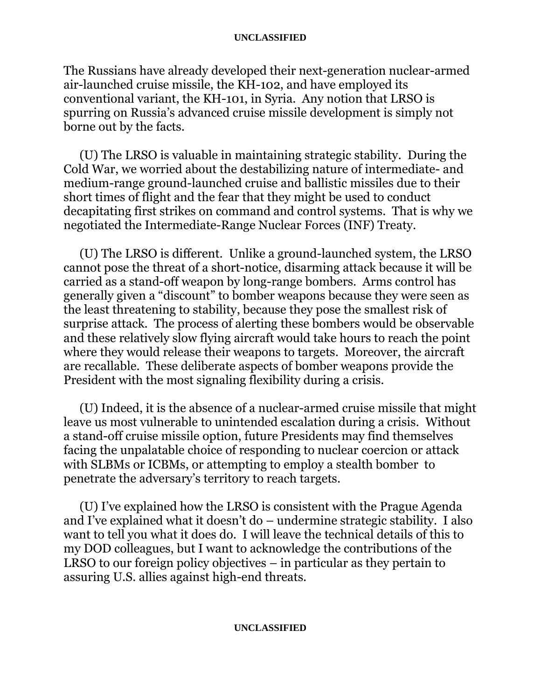### **UNCLASSIFIED**

The Russians have already developed their next-generation nuclear-armed air-launched cruise missile, the KH-102, and have employed its conventional variant, the KH-101, in Syria. Any notion that LRSO is spurring on Russia's advanced cruise missile development is simply not borne out by the facts.

(U) The LRSO is valuable in maintaining strategic stability. During the Cold War, we worried about the destabilizing nature of intermediate- and medium-range ground-launched cruise and ballistic missiles due to their short times of flight and the fear that they might be used to conduct decapitating first strikes on command and control systems. That is why we negotiated the Intermediate-Range Nuclear Forces (INF) Treaty.

(U) The LRSO is different. Unlike a ground-launched system, the LRSO cannot pose the threat of a short-notice, disarming attack because it will be carried as a stand-off weapon by long-range bombers. Arms control has generally given a "discount" to bomber weapons because they were seen as the least threatening to stability, because they pose the smallest risk of surprise attack. The process of alerting these bombers would be observable and these relatively slow flying aircraft would take hours to reach the point where they would release their weapons to targets. Moreover, the aircraft are recallable. These deliberate aspects of bomber weapons provide the President with the most signaling flexibility during a crisis.

(U) Indeed, it is the absence of a nuclear-armed cruise missile that might leave us most vulnerable to unintended escalation during a crisis. Without a stand-off cruise missile option, future Presidents may find themselves facing the unpalatable choice of responding to nuclear coercion or attack with SLBMs or ICBMs, or attempting to employ a stealth bomber to penetrate the adversary's territory to reach targets.

(U) I've explained how the LRSO is consistent with the Prague Agenda and I've explained what it doesn't do – undermine strategic stability. I also want to tell you what it does do. I will leave the technical details of this to my DOD colleagues, but I want to acknowledge the contributions of the LRSO to our foreign policy objectives – in particular as they pertain to assuring U.S. allies against high-end threats.

# **UNCLASSIFIED**